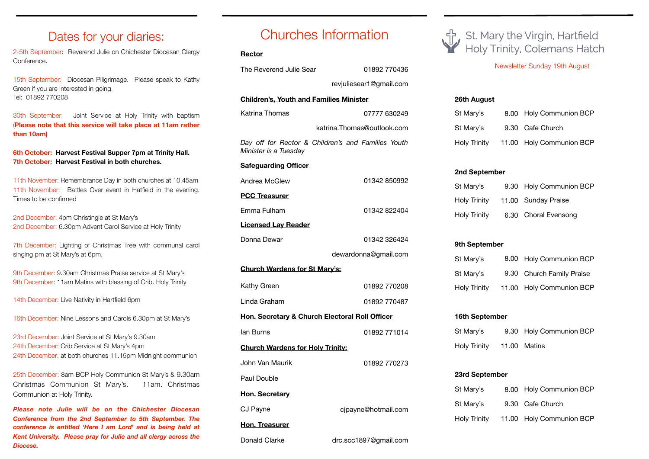## Dates for your diaries:

2-5th September: Reverend Julie on Chichester Diocesan Clergy Conference.

15th September: Diocesan Piligrimage. Please speak to Kathy Green if you are interested in going. Tel: 01892 770208

30th September: Joint Service at Holy Trinity with baptism (**Please note that this service will take place at 11am rather than 10am)** 

**6th October: Harvest Festival Supper 7pm at Trinity Hall. 7th October: Harvest Festival in both churches.** 

11th November: Remembrance Day in both churches at 10.45am 11th November: Battles Over event in Hatfield in the evening. Times to be confirmed

2nd December: 4pm Christingle at St Mary's 2nd December: 6.30pm Advent Carol Service at Holy Trinity

7th December: Lighting of Christmas Tree with communal carol singing pm at St Mary's at 6pm.

9th December: 9.30am Christmas Praise service at St Mary's 9th December: 11am Matins with blessing of Crib. Holy Trinity

14th December: Live Nativity in Hartfield 6pm

16th December: Nine Lessons and Carols 6.30pm at St Mary's

23rd December: Joint Service at St Mary's 9.30am 24th December: Crib Service at St Mary's 4pm 24th December: at both churches 11.15pm Midnight communion

25th December: 8am BCP Holy Communion St Mary's & 9.30am Christmas Communion St Mary's. 11am. Christmas Communion at Holy Trinity.

*Please note Julie will be on the Chichester Diocesan Conference from the 2nd September to 5th September. The conference is entitled 'Here I am Lord' and is being held at Kent University. Please pray for Julie and all clergy across the Diocese.* 

# Churches Information

#### **Rector**

| The Reverend Julie Sear                                                     | 01892 770436               |
|-----------------------------------------------------------------------------|----------------------------|
|                                                                             | reviuliesear1@gmail.com    |
| <b>Children's, Youth and Families Minister</b>                              |                            |
| Katrina Thomas                                                              | 07777 630249               |
|                                                                             | katrina.Thomas@outlook.com |
| Day off for Rector & Children's and Families Youth<br>Minister is a Tuesdav |                            |
| <u>Safeguarding Officer</u>                                                 |                            |
| Andrea McGlew                                                               | 01342 850992               |
| <b>PCC Treasurer</b>                                                        |                            |
| Emma Fulham                                                                 | 01342 822404               |
| <u>Licensed Lay Reader</u>                                                  |                            |
| Donna Dewar                                                                 | 01342 326424               |
|                                                                             | dewardonna@gmail.com       |
| <b>Church Wardens for St Mary's:</b>                                        |                            |
| Kathy Green                                                                 | 01892 770208               |
| Linda Graham                                                                | 01892 770487               |
| Hon. Secretary & Church Electoral Roll Officer                              |                            |
| lan Burns                                                                   | 01892 771014               |
| <b>Church Wardens for Holy Trinity:</b>                                     |                            |
| John Van Maurik                                                             | 01892 770273               |
| Paul Double                                                                 |                            |
| <u>Hon. Secretary</u>                                                       |                            |
| CJ Payne                                                                    | cipayne@hotmail.com        |
| Hon. Treasurer                                                              |                            |
| Donald Clarke                                                               | drc.scc1897@gmail.com      |
|                                                                             |                            |



St. Mary the Virgin, Hartfield<br>Holy Trinity, Colemans Hatch

#### Newsletter Sunday 19th August

#### **26th August**

| St Mary's           | 8.00 Holy Communion BCP  |
|---------------------|--------------------------|
| St Marv's           | 9.30 Cafe Church         |
| <b>Holy Trinity</b> | 11.00 Holy Communion BCP |

#### **2nd September**

| St Mary's    | 9.30 Holy Communion BCP |
|--------------|-------------------------|
| Holy Trinity | 11.00 Sunday Praise     |
| Holy Trinity | 6.30 Choral Evensong    |

#### **9th September**

| St Mary's    | 8.00 Holy Communion BCP   |
|--------------|---------------------------|
| St Marv's    | 9.30 Church Family Praise |
| Holy Trinity | 11.00 Holy Communion BCP  |

#### **16th September**

| St Mary's    | 9.30 Holy Communion BCP |
|--------------|-------------------------|
| Holy Trinity | 11.00 Matins            |

#### **23rd September**

| St Mary's    | 8.00 Holy Communion BCP  |
|--------------|--------------------------|
| St Mary's    | 9.30 Cafe Church         |
| Holy Trinity | 11.00 Holy Communion BCP |